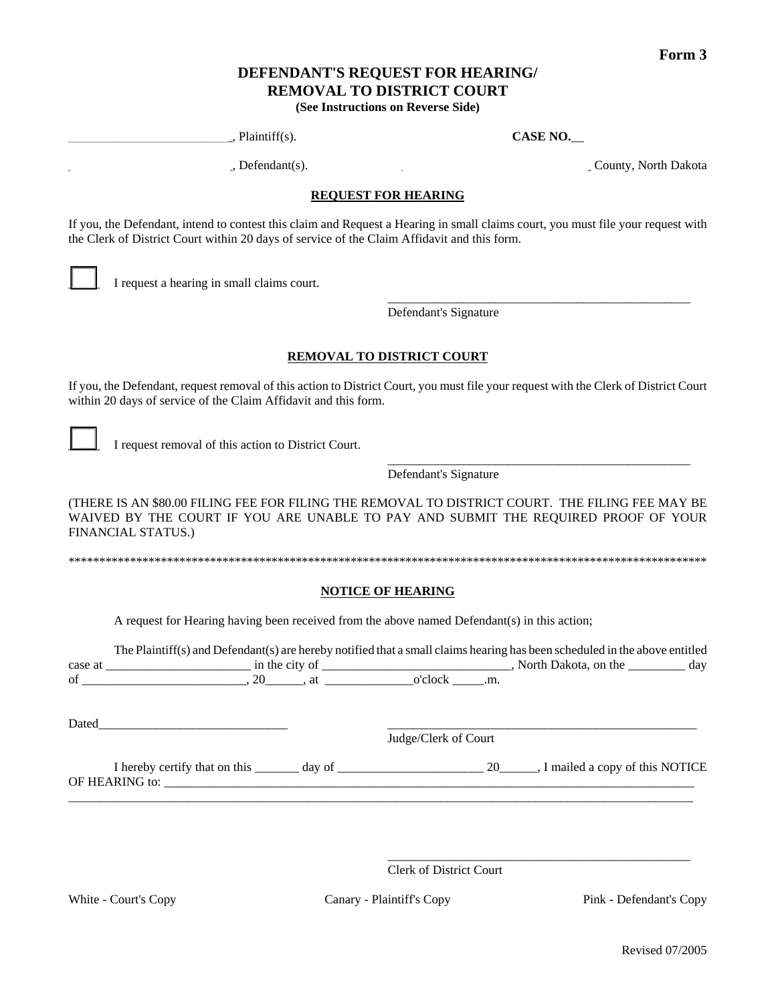# **DEFENDANT'S REQUEST FOR HEARING/ REMOVAL TO DISTRICT COURT**

**(See Instructions on Reverse Side)**

 $\Box$ , Plaintiff(s).  $\Box$  **CASE NO.** 

\_\_\_\_\_\_\_\_\_\_\_\_\_\_\_\_\_\_\_\_\_\_\_\_\_\_\_\_\_\_\_\_\_\_\_\_\_\_\_\_\_\_\_\_\_\_\_\_

\_\_\_\_\_\_\_\_\_\_\_\_\_\_\_\_\_\_\_\_\_\_\_\_\_\_\_\_\_\_\_\_\_\_\_\_\_\_\_\_\_\_\_\_\_\_\_\_

\_\_\_\_\_\_\_\_\_\_\_\_\_\_\_\_\_\_\_\_\_\_\_\_\_\_\_\_\_\_\_\_\_\_\_\_\_\_\_\_\_\_\_\_\_\_\_\_

\_\_\_\_\_\_\_\_\_\_\_\_\_\_\_\_\_\_\_\_\_\_\_\_\_\_, Defendant(s). \_\_\_\_\_\_\_\_\_\_\_\_\_\_\_\_\_\_\_\_\_\_\_\_\_\_\_\_\_\_ County, North Dakota

### **REQUEST FOR HEARING**

If you, the Defendant, intend to contest this claim and Request a Hearing in small claims court, you must file your request with the Clerk of District Court within 20 days of service of the Claim Affidavit and this form.

I request a hearing in small claims court.

Defendant's Signature

## **REMOVAL TO DISTRICT COURT**

If you, the Defendant, request removal of this action to District Court, you must file your request with the Clerk of District Court within 20 days of service of the Claim Affidavit and this form.

I request removal of this action to District Court.

Defendant's Signature

(THERE IS AN \$80.00 FILING FEE FOR FILING THE REMOVAL TO DISTRICT COURT. THE FILING FEE MAY BE WAIVED BY THE COURT IF YOU ARE UNABLE TO PAY AND SUBMIT THE REQUIRED PROOF OF YOUR FINANCIAL STATUS.)

\*\*\*\*\*\*\*\*\*\*\*\*\*\*\*\*\*\*\*\*\*\*\*\*\*\*\*\*\*\*\*\*\*\*\*\*\*\*\*\*\*\*\*\*\*\*\*\*\*\*\*\*\*\*\*\*\*\*\*\*\*\*\*\*\*\*\*\*\*\*\*\*\*\*\*\*\*\*\*\*\*\*\*\*\*\*\*\*\*\*\*\*\*\*\*\*\*\*\*\*\*\*\*\*

# **NOTICE OF HEARING**

A request for Hearing having been received from the above named Defendant(s) in this action;

|         | The Plaintiff(s) and Defendant(s) are hereby notified that a small claims hearing has been scheduled in the above entitled |                             |
|---------|----------------------------------------------------------------------------------------------------------------------------|-----------------------------|
| case at | in the city of                                                                                                             | North Dakota, on the<br>dav |
| of      |                                                                                                                            | o'clock                     |

Dated\_\_\_\_\_\_\_\_\_\_\_\_\_\_\_\_\_\_\_\_\_\_\_\_\_\_\_\_\_\_ \_\_\_\_\_\_\_\_\_\_\_\_\_\_\_\_\_\_\_\_\_\_\_\_\_\_\_\_\_\_\_\_\_\_\_\_\_\_\_\_\_\_\_\_\_\_\_\_\_

Judge/Clerk of Court

I hereby certify that on this \_\_\_\_\_\_\_ day of \_\_\_\_\_\_\_\_\_\_\_\_\_\_\_\_\_\_\_\_\_\_\_ 20\_\_\_\_\_\_, I mailed a copy of this NOTICE OF HEARING to: \_\_\_\_\_\_\_\_\_\_\_\_\_\_\_\_\_\_\_\_\_\_\_\_\_\_\_\_\_\_\_\_\_\_\_\_\_\_\_\_\_\_\_\_\_\_\_\_\_\_\_\_\_\_\_\_\_\_\_\_\_\_\_\_\_\_\_\_\_\_\_\_\_\_\_\_\_\_\_\_\_\_\_\_\_\_\_\_\_\_\_\_\_\_\_\_\_\_\_

Clerk of District Court

White - Court's Copy Canary - Plaintiff's Copy Pink - Defendant's Copy